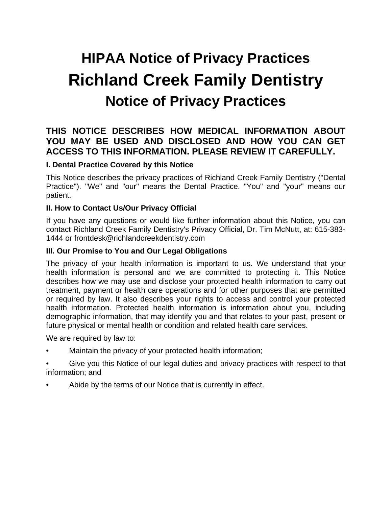# **HIPAA Notice of Privacy Practices Richland Creek Family Dentistry Notice of Privacy Practices**

# **THIS NOTICE DESCRIBES HOW MEDICAL INFORMATION ABOUT YOU MAY BE USED AND DISCLOSED AND HOW YOU CAN GET ACCESS TO THIS INFORMATION. PLEASE REVIEW IT CAREFULLY.**

#### **I. Dental Practice Covered by this Notice**

This Notice describes the privacy practices of Richland Creek Family Dentistry ("Dental Practice"). "We" and "our" means the Dental Practice. "You" and "your" means our patient.

#### **II. How to Contact Us/Our Privacy Official**

If you have any questions or would like further information about this Notice, you can contact Richland Creek Family Dentistry's Privacy Official, Dr. Tim McNutt, at: 615-383- 1444 or frontdesk@richlandcreekdentistry.com

#### **III. Our Promise to You and Our Legal Obligations**

The privacy of your health information is important to us. We understand that your health information is personal and we are committed to protecting it. This Notice describes how we may use and disclose your protected health information to carry out treatment, payment or health care operations and for other purposes that are permitted or required by law. It also describes your rights to access and control your protected health information. Protected health information is information about you, including demographic information, that may identify you and that relates to your past, present or future physical or mental health or condition and related health care services.

We are required by law to:

- Maintain the privacy of your protected health information;
- Give you this Notice of our legal duties and privacy practices with respect to that information; and
- Abide by the terms of our Notice that is currently in effect.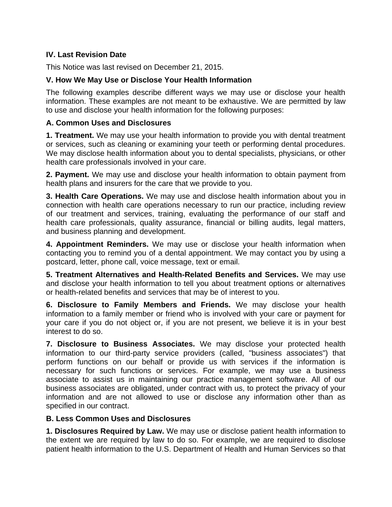# **IV. Last Revision Date**

This Notice was last revised on December 21, 2015.

# **V. How We May Use or Disclose Your Health Information**

The following examples describe different ways we may use or disclose your health information. These examples are not meant to be exhaustive. We are permitted by law to use and disclose your health information for the following purposes:

#### **A. Common Uses and Disclosures**

**1. Treatment.** We may use your health information to provide you with dental treatment or services, such as cleaning or examining your teeth or performing dental procedures. We may disclose health information about you to dental specialists, physicians, or other health care professionals involved in your care.

**2. Payment.** We may use and disclose your health information to obtain payment from health plans and insurers for the care that we provide to you.

**3. Health Care Operations.** We may use and disclose health information about you in connection with health care operations necessary to run our practice, including review of our treatment and services, training, evaluating the performance of our staff and health care professionals, quality assurance, financial or billing audits, legal matters, and business planning and development.

**4. Appointment Reminders.** We may use or disclose your health information when contacting you to remind you of a dental appointment. We may contact you by using a postcard, letter, phone call, voice message, text or email.

**5. Treatment Alternatives and Health-Related Benefits and Services.** We may use and disclose your health information to tell you about treatment options or alternatives or health-related benefits and services that may be of interest to you.

**6. Disclosure to Family Members and Friends.** We may disclose your health information to a family member or friend who is involved with your care or payment for your care if you do not object or, if you are not present, we believe it is in your best interest to do so.

**7. Disclosure to Business Associates.** We may disclose your protected health information to our third-party service providers (called, "business associates") that perform functions on our behalf or provide us with services if the information is necessary for such functions or services. For example, we may use a business associate to assist us in maintaining our practice management software. All of our business associates are obligated, under contract with us, to protect the privacy of your information and are not allowed to use or disclose any information other than as specified in our contract.

#### **B. Less Common Uses and Disclosures**

**1. Disclosures Required by Law.** We may use or disclose patient health information to the extent we are required by law to do so. For example, we are required to disclose patient health information to the U.S. Department of Health and Human Services so that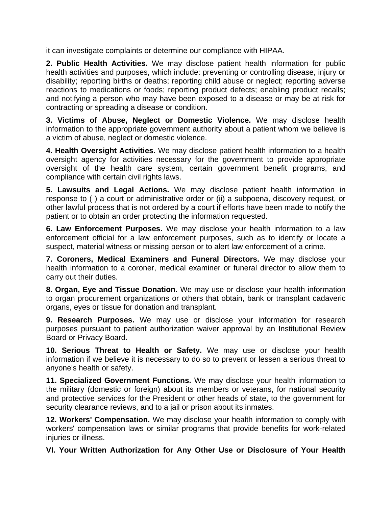it can investigate complaints or determine our compliance with HIPAA.

**2. Public Health Activities.** We may disclose patient health information for public health activities and purposes, which include: preventing or controlling disease, injury or disability; reporting births or deaths; reporting child abuse or neglect; reporting adverse reactions to medications or foods; reporting product defects; enabling product recalls; and notifying a person who may have been exposed to a disease or may be at risk for contracting or spreading a disease or condition.

**3. Victims of Abuse, Neglect or Domestic Violence.** We may disclose health information to the appropriate government authority about a patient whom we believe is a victim of abuse, neglect or domestic violence.

**4. Health Oversight Activities.** We may disclose patient health information to a health oversight agency for activities necessary for the government to provide appropriate oversight of the health care system, certain government benefit programs, and compliance with certain civil rights laws.

**5. Lawsuits and Legal Actions.** We may disclose patient health information in response to ( ) a court or administrative order or (ii) a subpoena, discovery request, or other lawful process that is not ordered by a court if efforts have been made to notify the patient or to obtain an order protecting the information requested.

**6. Law Enforcement Purposes.** We may disclose your health information to a law enforcement official for a law enforcement purposes, such as to identify or locate a suspect, material witness or missing person or to alert law enforcement of a crime.

**7. Coroners, Medical Examiners and Funeral Directors.** We may disclose your health information to a coroner, medical examiner or funeral director to allow them to carry out their duties.

**8. Organ, Eye and Tissue Donation.** We may use or disclose your health information to organ procurement organizations or others that obtain, bank or transplant cadaveric organs, eyes or tissue for donation and transplant.

**9. Research Purposes.** We may use or disclose your information for research purposes pursuant to patient authorization waiver approval by an Institutional Review Board or Privacy Board.

**10. Serious Threat to Health or Safety.** We may use or disclose your health information if we believe it is necessary to do so to prevent or lessen a serious threat to anyone's health or safety.

**11. Specialized Government Functions.** We may disclose your health information to the military (domestic or foreign) about its members or veterans, for national security and protective services for the President or other heads of state, to the government for security clearance reviews, and to a jail or prison about its inmates.

**12. Workers' Compensation.** We may disclose your health information to comply with workers' compensation laws or similar programs that provide benefits for work-related injuries or illness.

**VI. Your Written Authorization for Any Other Use or Disclosure of Your Health**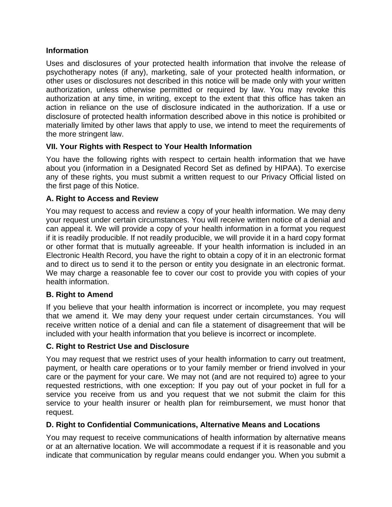# **Information**

Uses and disclosures of your protected health information that involve the release of psychotherapy notes (if any), marketing, sale of your protected health information, or other uses or disclosures not described in this notice will be made only with your written authorization, unless otherwise permitted or required by law. You may revoke this authorization at any time, in writing, except to the extent that this office has taken an action in reliance on the use of disclosure indicated in the authorization. If a use or disclosure of protected health information described above in this notice is prohibited or materially limited by other laws that apply to use, we intend to meet the requirements of the more stringent law.

# **VII. Your Rights with Respect to Your Health Information**

You have the following rights with respect to certain health information that we have about you (information in a Designated Record Set as defined by HIPAA). To exercise any of these rights, you must submit a written request to our Privacy Official listed on the first page of this Notice.

#### **A. Right to Access and Review**

You may request to access and review a copy of your health information. We may deny your request under certain circumstances. You will receive written notice of a denial and can appeal it. We will provide a copy of your health information in a format you request if it is readily producible. If not readily producible, we will provide it in a hard copy format or other format that is mutually agreeable. If your health information is included in an Electronic Health Record, you have the right to obtain a copy of it in an electronic format and to direct us to send it to the person or entity you designate in an electronic format. We may charge a reasonable fee to cover our cost to provide you with copies of your health information.

#### **B. Right to Amend**

If you believe that your health information is incorrect or incomplete, you may request that we amend it. We may deny your request under certain circumstances. You will receive written notice of a denial and can file a statement of disagreement that will be included with your health information that you believe is incorrect or incomplete.

#### **C. Right to Restrict Use and Disclosure**

You may request that we restrict uses of your health information to carry out treatment, payment, or health care operations or to your family member or friend involved in your care or the payment for your care. We may not (and are not required to) agree to your requested restrictions, with one exception: If you pay out of your pocket in full for a service you receive from us and you request that we not submit the claim for this service to your health insurer or health plan for reimbursement, we must honor that request.

#### **D. Right to Confidential Communications, Alternative Means and Locations**

You may request to receive communications of health information by alternative means or at an alternative location. We will accommodate a request if it is reasonable and you indicate that communication by regular means could endanger you. When you submit a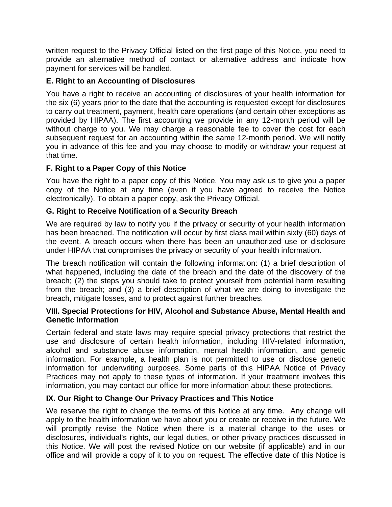written request to the Privacy Official listed on the first page of this Notice, you need to provide an alternative method of contact or alternative address and indicate how payment for services will be handled.

# **E. Right to an Accounting of Disclosures**

You have a right to receive an accounting of disclosures of your health information for the six (6) years prior to the date that the accounting is requested except for disclosures to carry out treatment, payment, health care operations (and certain other exceptions as provided by HIPAA). The first accounting we provide in any 12-month period will be without charge to you. We may charge a reasonable fee to cover the cost for each subsequent request for an accounting within the same 12-month period. We will notify you in advance of this fee and you may choose to modify or withdraw your request at that time.

# **F. Right to a Paper Copy of this Notice**

You have the right to a paper copy of this Notice. You may ask us to give you a paper copy of the Notice at any time (even if you have agreed to receive the Notice electronically). To obtain a paper copy, ask the Privacy Official.

# **G. Right to Receive Notification of a Security Breach**

We are required by law to notify you if the privacy or security of your health information has been breached. The notification will occur by first class mail within sixty (60) days of the event. A breach occurs when there has been an unauthorized use or disclosure under HIPAA that compromises the privacy or security of your health information.

The breach notification will contain the following information: (1) a brief description of what happened, including the date of the breach and the date of the discovery of the breach; (2) the steps you should take to protect yourself from potential harm resulting from the breach; and (3) a brief description of what we are doing to investigate the breach, mitigate losses, and to protect against further breaches.

#### **VIII. Special Protections for HIV, Alcohol and Substance Abuse, Mental Health and Genetic Information**

Certain federal and state laws may require special privacy protections that restrict the use and disclosure of certain health information, including HIV-related information, alcohol and substance abuse information, mental health information, and genetic information. For example, a health plan is not permitted to use or disclose genetic information for underwriting purposes. Some parts of this HIPAA Notice of Privacy Practices may not apply to these types of information. If your treatment involves this information, you may contact our office for more information about these protections.

# **IX. Our Right to Change Our Privacy Practices and This Notice**

We reserve the right to change the terms of this Notice at any time. Any change will apply to the health information we have about you or create or receive in the future. We will promptly revise the Notice when there is a material change to the uses or disclosures, individual's rights, our legal duties, or other privacy practices discussed in this Notice. We will post the revised Notice on our website (if applicable) and in our office and will provide a copy of it to you on request. The effective date of this Notice is